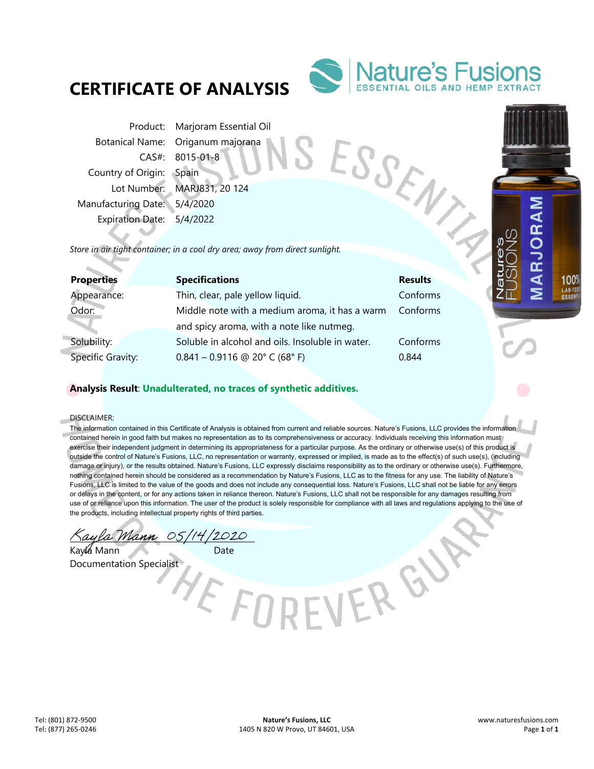# **CERTIFICATE OF ANALYSIS**



Product: Marjoram Essential Oil Botanical Name: Origanum majorana CAS#: 8015-01-8 Country of Origin: Spain Lot Number: MARJ831, 20 124 Manufacturing Date: 5/4/2020 Expiration Date: 5/4/2022 Production Mame: Origanum (1693)<br>
CAS#: 8015-01-8<br>
Country of Origin: Spain<br>
Lot Number: MARJ831, 20 124<br>
Manufacturing Date: 5/4/2020<br>
Expiration Date: 5/4/2022<br>
Store in air tight container; in a cool dry area; away from

| <b>Properties</b> | <b>Specifications</b>                            | <b>Results</b> |
|-------------------|--------------------------------------------------|----------------|
| Appearance:       | Thin, clear, pale yellow liquid.                 | Conforms       |
| Odor:             | Middle note with a medium aroma, it has a warm   | Conforms       |
|                   | and spicy aroma, with a note like nutmeg.        |                |
| Solubility:       | Soluble in alcohol and oils. Insoluble in water. | Conforms       |
| Specific Gravity: | $0.841 - 0.9116$ @ 20° C (68° F)                 | 0.844          |

E FOR

## **Analysis Result**: **Unadulterated, no traces of synthetic additives.**

DISCLAIMER:

a)

The information contained in this Certificate of Analysis is obtained from current and reliable sources. Nature's Fusions, LLC provides the information contained herein in good faith but makes no representation as to its comprehensiveness or accuracy. Individuals receiving this information must exercise their independent judgment in determining its appropriateness for a particular purpose. As the ordinary or otherwise use(s) of this product is outside the control of Nature's Fusions, LLC, no representation or warranty, expressed or implied, is made as to the effect(s) of such use(s), (including damage or injury), or the results obtained. Nature's Fusions, LLC expressly disclaims responsibility as to the ordinary or otherwise use(s). Furthermore, nothing contained herein should be considered as a recommendation by Nature's Fusions, LLC as to the fitness for any use. The liability of Nature's Fusions, LLC is limited to the value of the goods and does not include any consequential loss. Nature's Fusions, LLC shall not be liable for any errors or delays in the content, or for any actions taken in reliance thereon. Nature's Fusions, LLC shall not be responsible for any damages resulting from use of or reliance upon this information. The user of the product is solely responsible for compliance with all laws and regulations applying to the use of the products, including intellectual property rights of third parties.

EVERGY

Kaula Mann 05/14/2020

Kayla Mann Date Documentation Specialist

100<sup>9</sup> LAB-TE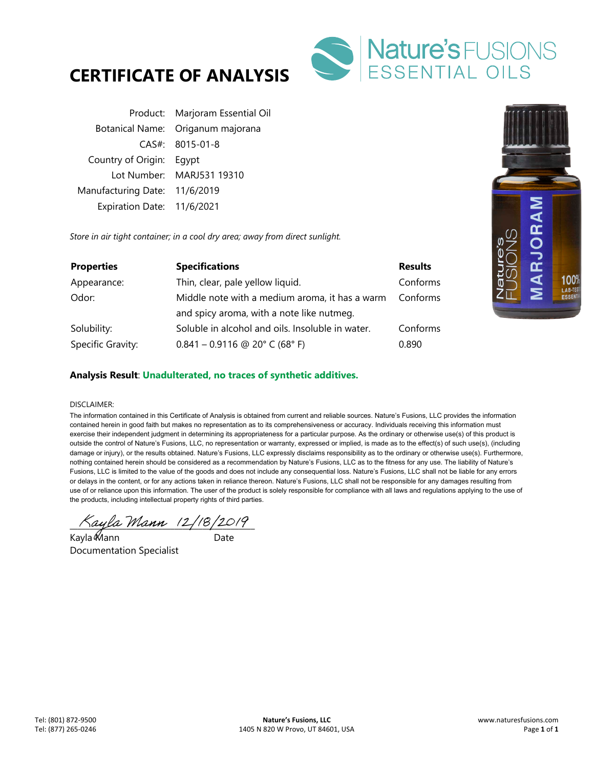



|                               | Product: Marjoram Essential Oil   |
|-------------------------------|-----------------------------------|
|                               | Botanical Name: Origanum majorana |
|                               | $CAS#: 8015-01-8$                 |
| Country of Origin: Eqypt      |                                   |
|                               | Lot Number: MARJ531 19310         |
| Manufacturing Date: 11/6/2019 |                                   |
| Expiration Date: 11/6/2021    |                                   |

*Store in air tight container; in a cool dry area; away from direct sunlight.* 

| <b>Properties</b> | <b>Specifications</b>                            | <b>Results</b> |
|-------------------|--------------------------------------------------|----------------|
| Appearance:       | Thin, clear, pale yellow liquid.                 | Conforms       |
| Odor:             | Middle note with a medium aroma, it has a warm   | Conforms       |
|                   | and spicy aroma, with a note like nutmeg.        |                |
| Solubility:       | Soluble in alcohol and oils. Insoluble in water. | Conforms       |
| Specific Gravity: | $0.841 - 0.9116$ @ 20° C (68° F)                 | 0.890          |



## **Analysis Result**: **Unadulterated, no traces of synthetic additives.**

#### DISCLAIMER:

The information contained in this Certificate of Analysis is obtained from current and reliable sources. Nature's Fusions, LLC provides the information contained herein in good faith but makes no representation as to its comprehensiveness or accuracy. Individuals receiving this information must exercise their independent judgment in determining its appropriateness for a particular purpose. As the ordinary or otherwise use(s) of this product is outside the control of Nature's Fusions, LLC, no representation or warranty, expressed or implied, is made as to the effect(s) of such use(s), (including damage or injury), or the results obtained. Nature's Fusions, LLC expressly disclaims responsibility as to the ordinary or otherwise use(s). Furthermore, nothing contained herein should be considered as a recommendation by Nature's Fusions, LLC as to the fitness for any use. The liability of Nature's Fusions, LLC is limited to the value of the goods and does not include any consequential loss. Nature's Fusions, LLC shall not be liable for any errors or delays in the content, or for any actions taken in reliance thereon. Nature's Fusions, LLC shall not be responsible for any damages resulting from use of or reliance upon this information. The user of the product is solely responsible for compliance with all laws and regulations applying to the use of the products, including intellectual property rights of third parties.

 $\land$ ayla Mann (2/18/2019)

Kayla Mann Date Documentation Specialist